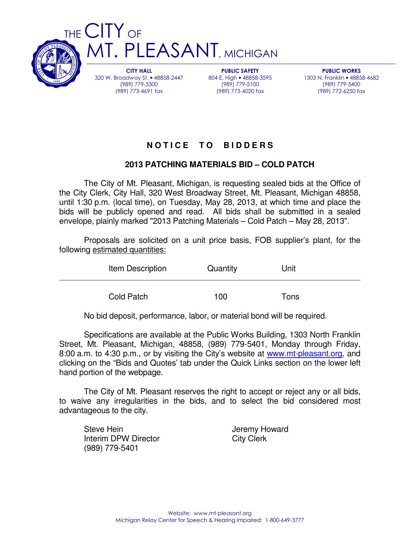

CITY HALL 320 W. Broadway St. • 48858-2447 (989) 779-5300 (989) 773-4691 fax

PUBLIC SAFETY 804 E. High • 48858-3595 (989) 779-5100 (989) 773-4020 fax

PUBLIC WORKS 1303 N. Franklin • 48858-4682 (989) 779-5400 (989) 772-6250 fax

# **N O T I C E T O B I D D E R S**

# **2013 PATCHING MATERIALS BID – COLD PATCH**

 The City of Mt. Pleasant, Michigan, is requesting sealed bids at the Office of the City Clerk, City Hall, 320 West Broadway Street, Mt. Pleasant, Michigan 48858, until 1:30 p.m. (local time), on Tuesday, May 28, 2013, at which time and place the bids will be publicly opened and read. All bids shall be submitted in a sealed envelope, plainly marked "2013 Patching Materials – Cold Patch – May 28, 2013".

 Proposals are solicited on a unit price basis, FOB supplier's plant, for the following estimated quantities:

| Item Description | Quantity | Unit |
|------------------|----------|------|
| Cold Patch       | 100      | Tons |

No bid deposit, performance, labor, or material bond will be required.

 Specifications are available at the Public Works Building, 1303 North Franklin Street, Mt. Pleasant, Michigan, 48858, (989) 779-5401, Monday through Friday, 8:00 a.m. to 4:30 p.m., or by visiting the City's website at www.mt-pleasant.org, and clicking on the "Bids and Quotes' tab under the Quick Links section on the lower left hand portion of the webpage.

 The City of Mt. Pleasant reserves the right to accept or reject any or all bids, to waive any irregularities in the bids, and to select the bid considered most advantageous to the city.

Steve Hein **Steve Hein Jeremy Howard** Interim DPW Director City Clerk (989) 779-5401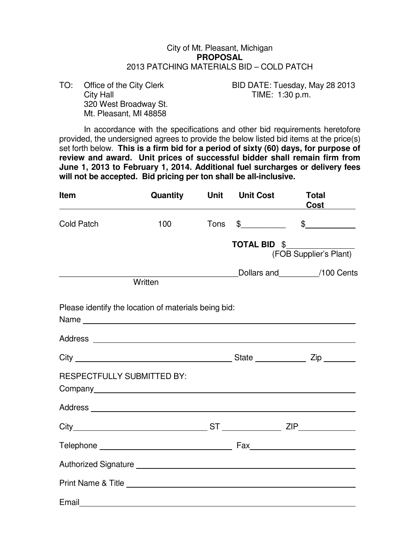#### City of Mt. Pleasant, Michigan **PROPOSAL**  2013 PATCHING MATERIALS BID – COLD PATCH

City Hall City Hall City Hall City Hall City Hall City Hall City Hall City Hall City Hall City Hall City Hall City Hall City Hall City Hall City Hall City Hall City Hall City Hall City Hall City Hall City Hall City Hall Ci 320 West Broadway St. Mt. Pleasant, MI 48858

TO: Office of the City Clerk BID DATE: Tuesday, May 28 2013

In accordance with the specifications and other bid requirements heretofore provided, the undersigned agrees to provide the below listed bid items at the price(s) set forth below. **This is a firm bid for a period of sixty (60) days, for purpose of review and award. Unit prices of successful bidder shall remain firm from June 1, 2013 to February 1, 2014. Additional fuel surcharges or delivery fees will not be accepted. Bid pricing per ton shall be all-inclusive.**

| <b>Item</b>                | Quantity                                                                                                             | <b>Unit</b> | <b>Unit Cost</b>    | <b>Total</b>                                                                                                                                                                                                                                                                                                        |
|----------------------------|----------------------------------------------------------------------------------------------------------------------|-------------|---------------------|---------------------------------------------------------------------------------------------------------------------------------------------------------------------------------------------------------------------------------------------------------------------------------------------------------------------|
| <b>Cold Patch</b>          | 100                                                                                                                  | <b>Tons</b> |                     | $\frac{2}{3}$ $\frac{2}{3}$ $\frac{2}{3}$ $\frac{2}{3}$ $\frac{2}{3}$ $\frac{2}{3}$ $\frac{2}{3}$ $\frac{2}{3}$ $\frac{2}{3}$ $\frac{2}{3}$ $\frac{2}{3}$ $\frac{2}{3}$ $\frac{2}{3}$ $\frac{2}{3}$ $\frac{2}{3}$ $\frac{2}{3}$ $\frac{2}{3}$ $\frac{2}{3}$ $\frac{2}{3}$ $\frac{2}{3}$ $\frac{2}{3}$ $\frac{2}{3}$ |
|                            |                                                                                                                      |             | <b>TOTAL BID \$</b> | (FOB Supplier's Plant)                                                                                                                                                                                                                                                                                              |
|                            | Written                                                                                                              |             |                     | Dollars and 100 Cents                                                                                                                                                                                                                                                                                               |
|                            | Please identify the location of materials being bid:                                                                 |             |                     |                                                                                                                                                                                                                                                                                                                     |
|                            |                                                                                                                      |             |                     |                                                                                                                                                                                                                                                                                                                     |
|                            |                                                                                                                      |             |                     |                                                                                                                                                                                                                                                                                                                     |
| RESPECTFULLY SUBMITTED BY: |                                                                                                                      |             |                     |                                                                                                                                                                                                                                                                                                                     |
|                            |                                                                                                                      |             |                     |                                                                                                                                                                                                                                                                                                                     |
|                            |                                                                                                                      |             |                     |                                                                                                                                                                                                                                                                                                                     |
|                            |                                                                                                                      |             |                     |                                                                                                                                                                                                                                                                                                                     |
|                            |                                                                                                                      |             |                     |                                                                                                                                                                                                                                                                                                                     |
|                            |                                                                                                                      |             |                     |                                                                                                                                                                                                                                                                                                                     |
| Email                      | <u> 1980 - Johann Barn, amerikan bestemannten bestemannten bestemannten bestemannten bestemannten bestemannten b</u> |             |                     |                                                                                                                                                                                                                                                                                                                     |